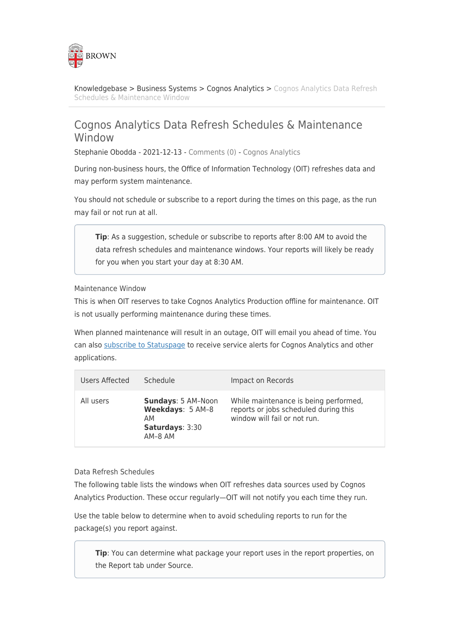

[Knowledgebase](https://ithelp.brown.edu/kb) > [Business Systems](https://ithelp.brown.edu/kb/business-systems) > [Cognos Analytics](https://ithelp.brown.edu/kb/cognos-analytics) > [Cognos Analytics Data Refresh](https://ithelp.brown.edu/kb/articles/cognos-analytics-data-refresh-schedules-maintenance-window) [Schedules & Maintenance Window](https://ithelp.brown.edu/kb/articles/cognos-analytics-data-refresh-schedules-maintenance-window)

## Cognos Analytics Data Refresh Schedules & Maintenance Window

Stephanie Obodda - 2021-12-13 - [Comments \(0\)](#page--1-0) - [Cognos Analytics](https://ithelp.brown.edu/kb/cognos-analytics)

During non-business hours, the Office of Information Technology (OIT) refreshes data and may perform system maintenance.

You should not schedule or subscribe to a report during the times on this page, as the run may fail or not run at all.

**Tip**: As a suggestion, schedule or subscribe to reports after 8:00 AM to avoid the data refresh schedules and maintenance windows. Your reports will likely be ready for you when you start your day at 8:30 AM.

Maintenance Window

This is when OIT reserves to take Cognos Analytics Production offline for maintenance. OIT is not usually performing maintenance during these times.

When planned maintenance will result in an outage, OIT will email you ahead of time. You can also [subscribe to Statuspage](https://ithelp.brown.edu/kb/articles/managing-subscriptions-to-statuspage-alerts) to receive service alerts for Cognos Analytics and other applications.

| Users Affected | Schedule                                                                   | Impact on Records                                                                                              |
|----------------|----------------------------------------------------------------------------|----------------------------------------------------------------------------------------------------------------|
| All users      | Sundays: 5 AM-Noon<br>Weekdays: 5 AM-8<br>AМ<br>Saturdays: 3:30<br>AM-8 AM | While maintenance is being performed,<br>reports or jobs scheduled during this<br>window will fail or not run. |

Data Refresh Schedules

The following table lists the windows when OIT refreshes data sources used by Cognos Analytics Production. These occur regularly—OIT will not notify you each time they run.

Use the table below to determine when to avoid scheduling reports to run for the package(s) you report against.

**Tip**: You can determine what package your report uses in the report properties, on the Report tab under Source.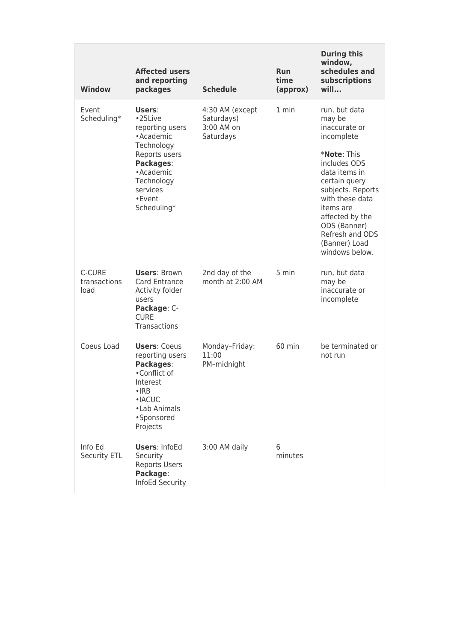| <b>Window</b>                  | <b>Affected users</b><br>and reporting<br>packages                                                                                                         | <b>Schedule</b>                                          | <b>Run</b><br>time<br>(approx) | <b>During this</b><br>window,<br>schedules and<br>subscriptions<br>will                                                                                                                                             |
|--------------------------------|------------------------------------------------------------------------------------------------------------------------------------------------------------|----------------------------------------------------------|--------------------------------|---------------------------------------------------------------------------------------------------------------------------------------------------------------------------------------------------------------------|
| Event<br>Scheduling*           | Users:<br>•25Live<br>reporting users<br>• Academic<br>Technology                                                                                           | 4:30 AM (except<br>Saturdays)<br>3:00 AM on<br>Saturdays | 1 min                          | run, but data<br>may be<br>inaccurate or<br>incomplete                                                                                                                                                              |
|                                | Reports users<br>Packages:<br>• Academic<br>Technology<br>services<br>• Event<br>Scheduling*                                                               |                                                          |                                | * <b>Note: This</b><br>includes ODS<br>data items in<br>certain query<br>subjects. Reports<br>with these data<br>items are<br>affected by the<br>ODS (Banner)<br>Refresh and ODS<br>(Banner) Load<br>windows below. |
| C-CURE<br>transactions<br>load | <b>Users: Brown</b><br>Card Entrance<br>Activity folder<br>users<br>Package: C-<br><b>CURE</b><br>Transactions                                             | 2nd day of the<br>month at 2:00 AM                       | 5 min                          | run, but data<br>may be<br>inaccurate or<br>incomplete                                                                                                                                                              |
| Coeus Load                     | <b>Users: Coeus</b><br>reporting users<br>Packages:<br>•Conflict of<br>Interest<br>$\cdot$ IRB<br>$\cdot$ IACUC<br>• Lab Animals<br>·Sponsored<br>Projects | Monday-Friday:<br>11:00<br>PM-midnight                   | $60$ min                       | be terminated or<br>not run                                                                                                                                                                                         |
| Info Ed<br>Security ETL        | <b>Users: InfoEd</b><br>Security<br><b>Reports Users</b><br>Package:<br>InfoEd Security                                                                    | 3:00 AM daily                                            | 6<br>minutes                   |                                                                                                                                                                                                                     |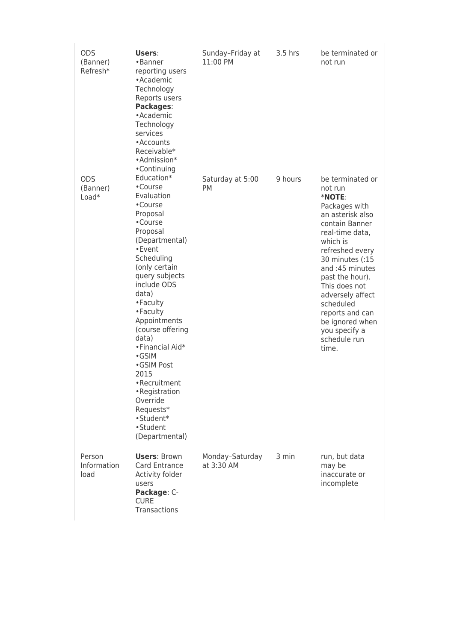| <b>ODS</b><br>(Banner)<br>Refresh* | Users:<br>•Banner<br>reporting users<br>• Academic<br>Technology<br>Reports users<br>Packages:<br>• Academic<br>Technology<br>services<br>• Accounts<br>Receivable*<br>•Admission*                                                                                                                                                                                                                                                     | Sunday-Friday at<br>11:00 PM  | 3.5 hrs | be terminated or<br>not run                                                                                                                                                                                                                                                                                                              |
|------------------------------------|----------------------------------------------------------------------------------------------------------------------------------------------------------------------------------------------------------------------------------------------------------------------------------------------------------------------------------------------------------------------------------------------------------------------------------------|-------------------------------|---------|------------------------------------------------------------------------------------------------------------------------------------------------------------------------------------------------------------------------------------------------------------------------------------------------------------------------------------------|
| <b>ODS</b><br>(Banner)<br>$Load*$  | •Continuing<br>Education*<br>•Course<br>Evaluation<br>•Course<br>Proposal<br>•Course<br>Proposal<br>(Departmental)<br>• Event<br>Scheduling<br>(only certain<br>query subjects<br>include ODS<br>data)<br>• Faculty<br>• Faculty<br>Appointments<br>(course offering<br>data)<br>• Financial Aid*<br>•GSIM<br>•GSIM Post<br>2015<br>•Recruitment<br>• Registration<br>Override<br>Requests*<br>•Student*<br>•Student<br>(Departmental) | Saturday at 5:00<br>РM        | 9 hours | be terminated or<br>not run<br>*NOTE:<br>Packages with<br>an asterisk also<br>contain Banner<br>real-time data,<br>which is<br>refreshed every<br>30 minutes (:15<br>and:45 minutes<br>past the hour).<br>This does not<br>adversely affect<br>scheduled<br>reports and can<br>be ignored when<br>you specify a<br>schedule run<br>time. |
| Person<br>Information<br>load      | <b>Users: Brown</b><br>Card Entrance<br>Activity folder<br>users<br>Package: C-<br><b>CURE</b><br>Transactions                                                                                                                                                                                                                                                                                                                         | Monday-Saturday<br>at 3:30 AM | 3 min   | run, but data<br>may be<br>inaccurate or<br>incomplete                                                                                                                                                                                                                                                                                   |